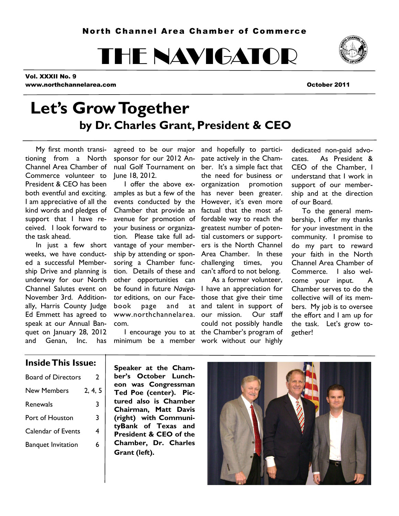THE NAVIGATOR

Vol. XXXII No. 9 www.northchannelarea.com October 2011

# **Let's Grow Together by Dr. Charles Grant, President & CEO**

 My first month transitioning from a North Channel Area Chamber of Commerce volunteer to President & CEO has been both eventful and exciting. I am appreciative of all the kind words and pledges of support that I have received. I look forward to the task ahead.

 In just a few short weeks, we have conducted a successful Membership Drive and planning is underway for our North Channel Salutes event on November 3rd. Additionally, Harris County Judge Ed Emmett has agreed to speak at our Annual Banquet on January 28, 2012 and Genan, Inc. has

sponsor for our 2012 An-pate actively in the Cham-June 18, 2012.

Chamber that provide an factual that the most afyour business or organization. Please take full ad-tial customers or supportvantage of your membersoring a Chamber function. Details of these and can't afford to not belong. other opportunities can be found in future *Naviga-*I have an appreciation for *tor* editions, on our Facebook page and www.northchannelarea. com.

agreed to be our major and hopefully to particinual Golf Tournament on ber. It's a simple fact that I offer the above ex-organization promotion amples as but a few of the has never been greater. events conducted by the However, it's even more avenue for promotion of fordable way to reach the ship by attending or spon-Area Chamber. In these the need for business or greatest number of poteners is the North Channel challenging times, you

 I encourage you to at the Chamber's program of minimum be a member work without our highly As a former volunteer, those that give their time at and talent in support of our mission. Our staff could not possibly handle

dedicated non-paid advocates. As President & CEO of the Chamber, I understand that I work in support of our membership and at the direction of our Board.

 To the general membership, I offer my thanks for your investment in the community. I promise to do my part to reward your faith in the North Channel Area Chamber of Commerce. I also welcome your input. A Chamber serves to do the collective will of its members. My job is to oversee the effort and I am up for the task. Let's grow together!

### **Inside This Issue:**

| <b>Board of Directors</b> | 2       |
|---------------------------|---------|
| <b>New Members</b>        | 2, 4, 5 |
| Renewals                  | 3       |
| Port of Houston           | 3       |
| <b>Calendar of Events</b> | 4       |
| <b>Banquet Invitation</b> | 6       |
|                           |         |

**Speaker at the Chamber's October Luncheon was Congressman Ted Poe (center). Pictured also is Chamber Chairman, Matt Davis (right) with CommunityBank of Texas and President & CEO of the Chamber, Dr. Charles Grant (left).**



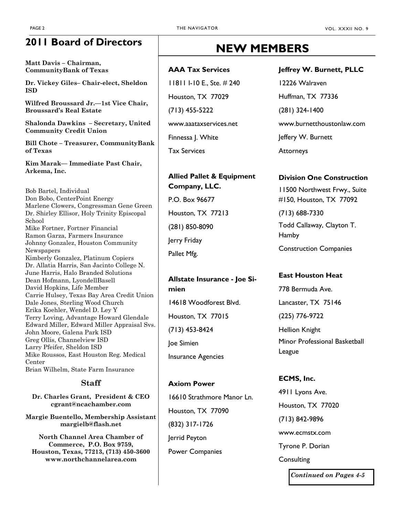## **2011 Board of Directors**

**Matt Davis – Chairman, CommunityBank of Texas**

**Dr. Vickey Giles– Chair-elect, Sheldon ISD**

**Wilfred Broussard Jr.—1st Vice Chair, Broussard's Real Estate**

**Shalonda Dawkins – Secretary, United Community Credit Union**

**Bill Chote – Treasurer, CommunityBank of Texas**

**Kim Marak— Immediate Past Chair, Arkema, Inc.**

Bob Bartel, Individual Don Bobo, CenterPoint Energy Marlene Clowers, Congressman Gene Green Dr. Shirley Ellisor, Holy Trinity Episcopal School Mike Fortner, Fortner Financial Ramon Garza, Farmers Insurance Johnny Gonzalez, Houston Community Newspapers Kimberly Gonzalez, Platinum Copiers Dr. Allatia Harris, San Jacinto College N. June Harris, Halo Branded Solutions Dean Hofmann, LyondellBasell David Hopkins, Life Member Carrie Hulsey, Texas Bay Area Credit Union Dale Jones, Sterling Wood Church Erika Koehler, Wendel D. Ley Y Terry Loving, Advantage Howard Glendale Edward Miller, Edward Miller Appraisal Svs. John Moore, Galena Park ISD Greg Ollis, Channelview ISD Larry Pfeifer, Sheldon ISD Mike Roussos, East Houston Reg. Medical Center Brian Wilhelm, State Farm Insurance

### **Staff**

**Dr. Charles Grant, President & CEO cgrant@ncachamber.com**

**Margie Buentello, Membership Assistant margielb@flash.net**

**North Channel Area Chamber of Commerce, P.O. Box 9759, Houston, Texas, 77213, (713) 450-3600 www.northchannelarea.com**

# **NEW MEMBERS**

### **AAA Tax Services**

11811 I-10 E., Ste. # 240 Houston, TX 77029 (713) 455-5222 www.aaataxservices.net Finnessa J. White Tax Services

### **Allied Pallet & Equipment Company, LLC.**

P.O. Box 96677 Houston, TX 77213 (281) 850-8090 Jerry Friday Pallet Mfg.

### **Allstate Insurance - Joe Simien**

14618 Woodforest Blvd. Houston, TX 77015 (713) 453-8424 Joe Simien Insurance Agencies

**Axiom Power** 16610 Strathmore Manor Ln. Houston, TX 77090 (832) 317-1726 Jerrid Peyton Power Companies

### **Jeffrey W. Burnett, PLLC**

12226 Walraven Huffman, TX 77336 (281) 324-1400 www.burnetthoustonlaw.com Jeffery W. Burnett **Attorneys** 

### **Division One Construction**

11500 Northwest Frwy., Suite #150, Houston, TX 77092

(713) 688-7330 Todd Callaway, Clayton T. Hamby

Construction Companies

### **East Houston Heat**

778 Bermuda Ave. Lancaster, TX 75146 (225) 776-9722 Hellion Knight Minor Professional Basketball League

**ECMS, Inc.** 4911 Lyons Ave. Houston, TX 77020 (713) 842-9896 www.ecmstx.com Tyrone P. Dorian **Consulting** 

*Continued on Pages 4-5*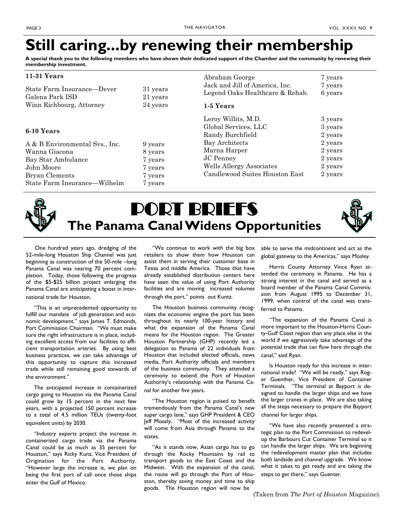# **Still caring...by renewing their membership**

**A special thank you to the following members who have shown their dedicated support of the Chamber and the community by renewing their membership investment.**

| $11-31$ Years                                 |                      | Abraham George                                                    | 7 years            |
|-----------------------------------------------|----------------------|-------------------------------------------------------------------|--------------------|
| State Farm Insurance—Dever<br>Galena Park ISD | 31 years<br>21 years | Jack and Jill of America, Inc.<br>Legend Oaks Healthcare & Rehab. | 7 years<br>6 years |
| Winn Richbourg, Attorney                      | 24 years             | 1-5 Years                                                         |                    |
|                                               |                      | Leroy Willits, M.D.                                               | 3 years            |
| 6-10 Years                                    |                      | Global Services, LLC                                              | 3 years            |
|                                               |                      | Randy Burchfield                                                  | 2 years            |
| A & B Environmental Sys., Inc.                | 9 years              | Bay Architects                                                    | 2 years            |
| Wanna Giacona                                 | 8 years              | Marna Harper                                                      | 2 years            |
| Bay Star Ambulance                            | 7 years              | <b>JC</b> Penney                                                  | 2 years            |
| John Moore                                    | 7 years              | <b>Wells Allergy Associates</b>                                   | 2 years            |
| Bryan Clements                                | 7 years              | Candlewood Suites Houston East                                    | 2 years            |
| State Farm Insurance—Wilhelm                  | 7 years              |                                                                   |                    |



# PORT BRIEFS **The Panama Canal Widens Opportunities**

 One hundred years ago, dredging of the 52-mile-long Houston Ship Channel was just beginning as construction of the 50-mile –long Panama Canal was nearing 70 percent completion. Today, those following the progress of the \$5-\$25 billion project enlarging the Panama Canal are anticipating a boost in international trade for Houston.

 "This is an unprecedented opportunity to fulfill our mandate of job generation and economic development." says James T. Edmonds, Port Commission Chairman. "We must make sure the right infrastructure is in place, including excellent access from our facilities to efficient transportation arteries. By using best business practices, we can take advantage of this opportunity to capture this increased trade while still remaining good stewards of the environment."

 The anticipated increase in containerized cargo going to Houston via the Panama Canal could grow by 15 percent in the next few years, with a projected 150 percent increase to a total of 4.5 million TEUs (twenty-foot equivalent units) by 2030.

 "Industry experts project the increase in containerized cargo trade via the Panama Canal could be as much as 35 percent for Houston," says Ricky Kunz, Vice President of Origination for the Port Authority. "However large the increase is, we plan on being the first port of call once those ships enter the Gulf of Mexico.

 "We continue to work with the big box retailers to show them how Houston can assist them in serving their customer base in Texas and middle America. Those that have already established distribution centers here have seen the value of using Port Authority facilities and are moving increased volumes through the port," points out Kuntz.

 The Houston business community recognizes the economic engine the port has been throughout its nearly 100-year history and what the expansion of the Panama Canal means for the Houston region. The Greater Houston Partnership (GHP) recently led a delegation to Panama of 22 individuals from Houston that included elected officials, news media, Port Authority officials and members of the business community. They attended a ceremony to extend the Port of Houston Authority's relationship with the Panama Canal for another five years.

 "The Houston region is poised to benefit tremendously from the Panama Canal's new super cargo lane," says GHP President & CEO Jeff Mosely. "Most of the increased activity will come from Asia through Panama to the states.

 "As it stands now, Asian cargo has to go through the Rocky Mountains by rail to transport goods to the East Coast and the Midwest. With the expansion of the canal, the route will go through the Port of Houston, thereby saving money and time to ship goods. The Houston region will now be

able to serve the midcontinent and act as the global gateway to the Americas," says Mosley.

 Harris County Attorney Vince Ryan attended the ceremony in Panama. He has a strong interest in the canal and served as a board member of the Panama Canal Commission from August 1995 to December 31, 1999, when control of the canal was transferred to Panama.

 "The expansion of the Panama Canal is more important to the Houston-Harris County-Gulf Coast region than any place else in the world if we aggressively take advantage of the potential trade that can flow here through the canal," said Ryan.

 Is Houston ready for this increase in international trade? "We will be ready," says Roger Guenther, Vice President of Container Terminals. "The terminal at Bayport is designed to handle the larger ships and we have the larger cranes in place. We are also taking all the steps necessary to prepare the Bayport channel for larger ships.

 "We have also recently presented a strategic plan to the Port Commission to redevelop the Barbours Cut Container Terminal so it can handle the larger ships. We are beginning the redevelopment master plan that includes both landside and channel upgrade. We know what it takes to get ready and are taking the steps to get there," says Guenter.

(Taken from *The Port of Houston* Magazine).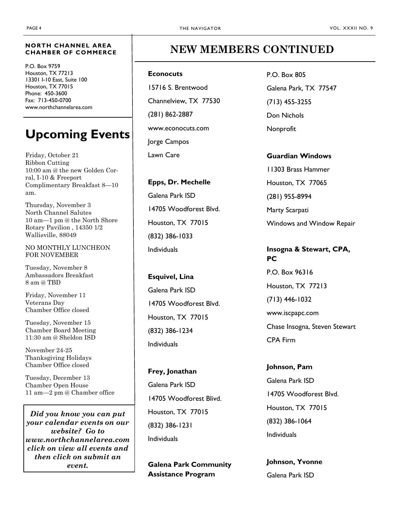#### **NORTH CHANNEL AREA CHAMBER OF COMMERCE**

P.O. Box 9759 Houston, TX 77213 13301 I-10 East, Suite 100 Houston, TX 77015 Phone: 450-3600 Fax: 713-450-0700 www.northchannelarea.com

# **Upcoming Events**

Friday, October 21 Ribbon Cutting 10:00 am @ the new Golden Corral, I-10 & Freeport Complimentary Breakfast 8—10 am.

Thursday, November 3 North Channel Salutes 10 am—1 pm @ the North Shore Rotary Pavilion , 14350 1/2 Wallisville, 88049

NO MONTHLY LUNCHEON FOR NOVEMBER

Tuesday, November 8 Ambassadors Breakfast 8 am @ TBD

Friday, November 11 Veterans Day Chamber Office closed

Tuesday, November 15 Chamber Board Meeting 11:30 am @ Sheldon ISD

November 24-25 Thanksgiving Holidays Chamber Office closed

Tuesday, December 13 Chamber Open House 11 am—2 pm @ Chamber office

*Did you know you can put your calendar events on our website? Go to www.northchannelarea.com click on view all events and then click on submit an event.* 

### **NEW MEMBERS CONTINUED**

#### **Econocuts**

15716 S. Brentwood Channelview, TX 77530 (281) 862-2887 www.econocuts.com Jorge Campos Lawn Care

**Epps, Dr. Mechelle** Galena Park ISD 14705 Woodforest Blvd. Houston, TX 77015 (832) 386-1033 Individuals

**Esquivel, Lina** Galena Park ISD 14705 Woodforest Blvd. Houston, TX 77015 (832) 386-1234 Individuals

**Frey, Jonathan** Galena Park ISD 14705 Woodforest Blivd. Houston, TX 77015 (832) 386-1231 Individuals

**Galena Park Community Assistance Program**

P.O. Box 805 Galena Park, TX 77547 (713) 455-3255 Don Nichols Nonprofit

**Guardian Windows** 11303 Brass Hammer Houston, TX 77065 (281) 955-8994 Marty Scarpati Windows and Window Repair

### **Insogna & Stewart, CPA, PC**

P.O. Box 96316 Houston, TX 77213 (713) 446-1032 www.iscpapc.com Chase Insogna, Steven Stewart CPA Firm

**Johnson, Pam** Galena Park ISD 14705 Woodforest Blvd. Houston, TX 77015 (832) 386-1064 Individuals

**Johnson, Yvonne** Galena Park ISD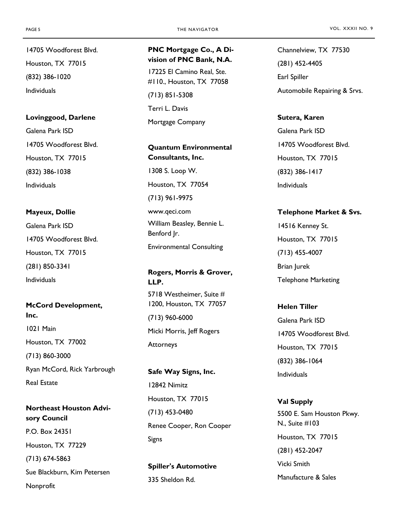14705 Woodforest Blvd. Houston, TX 77015 (832) 386-1020 Individuals

**Lovinggood, Darlene** Galena Park ISD

14705 Woodforest Blvd. Houston, TX 77015 (832) 386-1038 Individuals

#### **Mayeux, Dollie**

Galena Park ISD 14705 Woodforest Blvd. Houston, TX 77015 (281) 850-3341 Individuals

**McCord Development, Inc.** 1021 Main Houston, TX 77002 (713) 860-3000 Ryan McCord, Rick Yarbrough Real Estate

**Northeast Houston Advisory Council** P.O. Box 24351 Houston, TX 77229 (713) 674-5863 Sue Blackburn, Kim Petersen Nonprofit

### **PNC Mortgage Co., A Division of PNC Bank, N.A.**

17225 El Camino Real, Ste. #110., Houston, TX 77058 (713) 851-5308 Terri L. Davis Mortgage Company

**Quantum Environmental Consultants, Inc.** 1308 S. Loop W. Houston, TX 77054 (713) 961-9975 www.qeci.com William Beasley, Bennie L. Benford Jr.

Environmental Consulting

**Rogers, Morris & Grover, LLP.** 5718 Westheimer, Suite #

1200, Houston, TX 77057 (713) 960-6000 Micki Morris, Jeff Rogers **Attorneys** 

**Safe Way Signs, Inc.** 12842 Nimitz Houston, TX 77015 (713) 453-0480 Renee Cooper, Ron Cooper Signs

**Spiller's Automotive** 335 Sheldon Rd.

Channelview, TX 77530 (281) 452-4405 Earl Spiller Automobile Repairing & Srvs.

**Sutera, Karen** Galena Park ISD 14705 Woodforest Blvd. Houston, TX 77015 (832) 386-1417 Individuals

#### **Telephone Market & Svs.**

14516 Kenney St. Houston, TX 77015 (713) 455-4007 Brian Jurek Telephone Marketing

**Helen Tiller**

Galena Park ISD 14705 Woodforest Blvd. Houston, TX 77015 (832) 386-1064 Individuals

**Val Supply** 5500 E. Sam Houston Pkwy. N., Suite #103 Houston, TX 77015 (281) 452-2047 Vicki Smith Manufacture & Sales